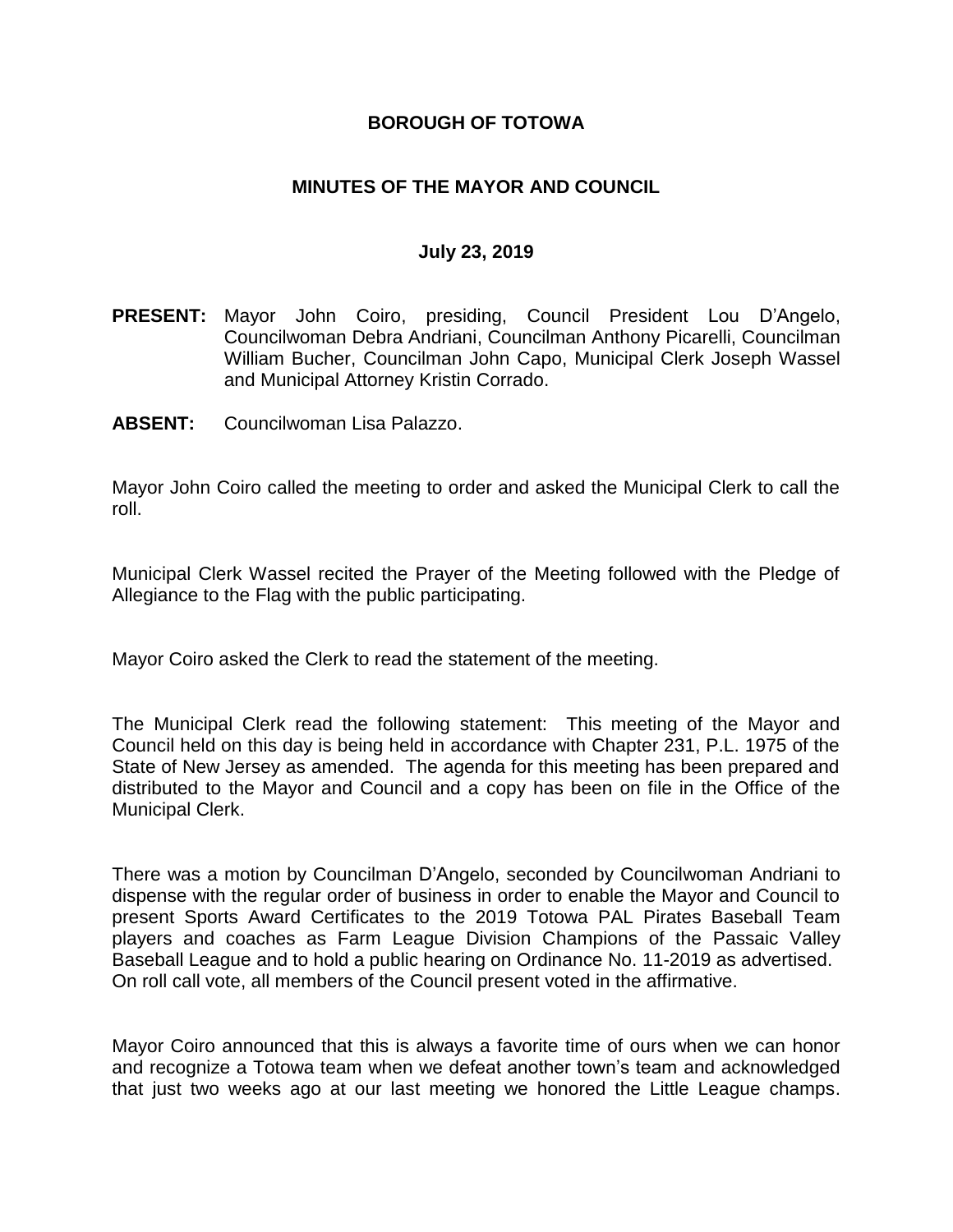## **BOROUGH OF TOTOWA**

## **MINUTES OF THE MAYOR AND COUNCIL**

#### **July 23, 2019**

- **PRESENT:** Mayor John Coiro, presiding, Council President Lou D'Angelo, Councilwoman Debra Andriani, Councilman Anthony Picarelli, Councilman William Bucher, Councilman John Capo, Municipal Clerk Joseph Wassel and Municipal Attorney Kristin Corrado.
- **ABSENT:** Councilwoman Lisa Palazzo.

Mayor John Coiro called the meeting to order and asked the Municipal Clerk to call the roll.

Municipal Clerk Wassel recited the Prayer of the Meeting followed with the Pledge of Allegiance to the Flag with the public participating.

Mayor Coiro asked the Clerk to read the statement of the meeting.

The Municipal Clerk read the following statement: This meeting of the Mayor and Council held on this day is being held in accordance with Chapter 231, P.L. 1975 of the State of New Jersey as amended. The agenda for this meeting has been prepared and distributed to the Mayor and Council and a copy has been on file in the Office of the Municipal Clerk.

There was a motion by Councilman D'Angelo, seconded by Councilwoman Andriani to dispense with the regular order of business in order to enable the Mayor and Council to present Sports Award Certificates to the 2019 Totowa PAL Pirates Baseball Team players and coaches as Farm League Division Champions of the Passaic Valley Baseball League and to hold a public hearing on Ordinance No. 11-2019 as advertised. On roll call vote, all members of the Council present voted in the affirmative.

Mayor Coiro announced that this is always a favorite time of ours when we can honor and recognize a Totowa team when we defeat another town's team and acknowledged that just two weeks ago at our last meeting we honored the Little League champs.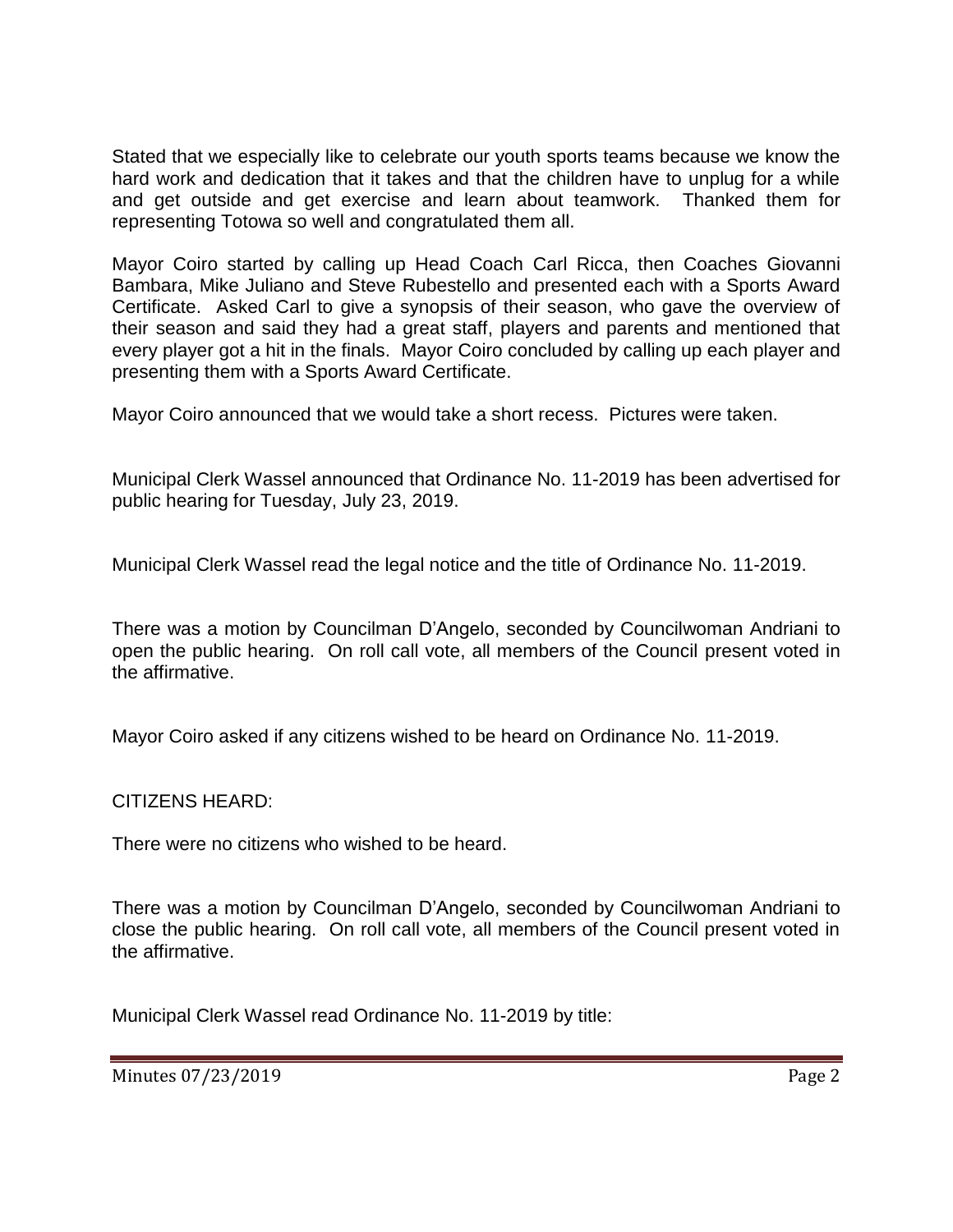Stated that we especially like to celebrate our youth sports teams because we know the hard work and dedication that it takes and that the children have to unplug for a while and get outside and get exercise and learn about teamwork. Thanked them for representing Totowa so well and congratulated them all.

Mayor Coiro started by calling up Head Coach Carl Ricca, then Coaches Giovanni Bambara, Mike Juliano and Steve Rubestello and presented each with a Sports Award Certificate. Asked Carl to give a synopsis of their season, who gave the overview of their season and said they had a great staff, players and parents and mentioned that every player got a hit in the finals. Mayor Coiro concluded by calling up each player and presenting them with a Sports Award Certificate.

Mayor Coiro announced that we would take a short recess. Pictures were taken.

Municipal Clerk Wassel announced that Ordinance No. 11-2019 has been advertised for public hearing for Tuesday, July 23, 2019.

Municipal Clerk Wassel read the legal notice and the title of Ordinance No. 11-2019.

There was a motion by Councilman D'Angelo, seconded by Councilwoman Andriani to open the public hearing. On roll call vote, all members of the Council present voted in the affirmative.

Mayor Coiro asked if any citizens wished to be heard on Ordinance No. 11-2019.

CITIZENS HEARD:

There were no citizens who wished to be heard.

There was a motion by Councilman D'Angelo, seconded by Councilwoman Andriani to close the public hearing. On roll call vote, all members of the Council present voted in the affirmative.

Municipal Clerk Wassel read Ordinance No. 11-2019 by title:

Minutes 07/23/2019 Page 2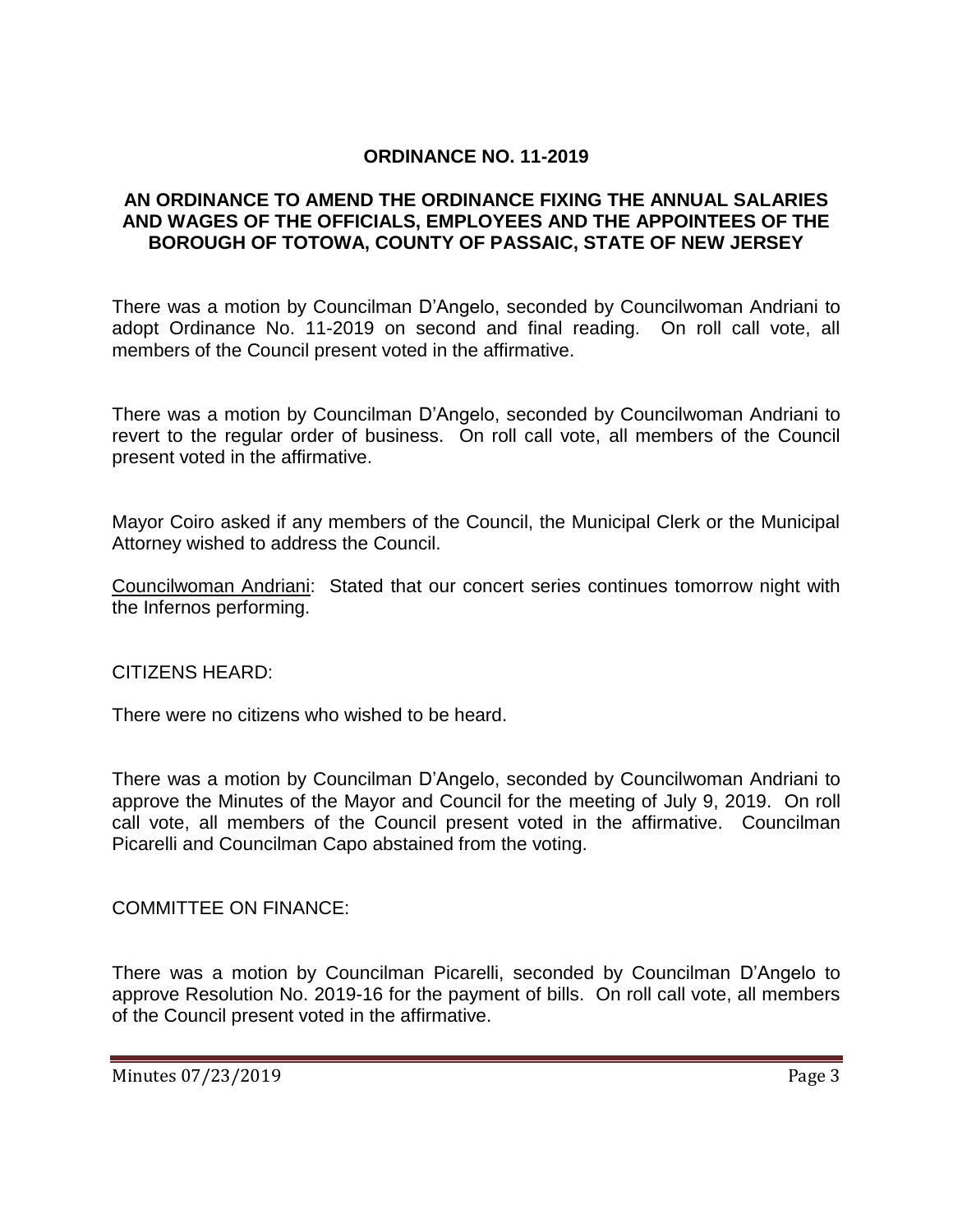## **ORDINANCE NO. 11-2019**

### **AN ORDINANCE TO AMEND THE ORDINANCE FIXING THE ANNUAL SALARIES AND WAGES OF THE OFFICIALS, EMPLOYEES AND THE APPOINTEES OF THE BOROUGH OF TOTOWA, COUNTY OF PASSAIC, STATE OF NEW JERSEY**

There was a motion by Councilman D'Angelo, seconded by Councilwoman Andriani to adopt Ordinance No. 11-2019 on second and final reading. On roll call vote, all members of the Council present voted in the affirmative.

There was a motion by Councilman D'Angelo, seconded by Councilwoman Andriani to revert to the regular order of business. On roll call vote, all members of the Council present voted in the affirmative.

Mayor Coiro asked if any members of the Council, the Municipal Clerk or the Municipal Attorney wished to address the Council.

Councilwoman Andriani: Stated that our concert series continues tomorrow night with the Infernos performing.

CITIZENS HEARD:

There were no citizens who wished to be heard.

There was a motion by Councilman D'Angelo, seconded by Councilwoman Andriani to approve the Minutes of the Mayor and Council for the meeting of July 9, 2019. On roll call vote, all members of the Council present voted in the affirmative. Councilman Picarelli and Councilman Capo abstained from the voting.

COMMITTEE ON FINANCE:

There was a motion by Councilman Picarelli, seconded by Councilman D'Angelo to approve Resolution No. 2019-16 for the payment of bills. On roll call vote, all members of the Council present voted in the affirmative.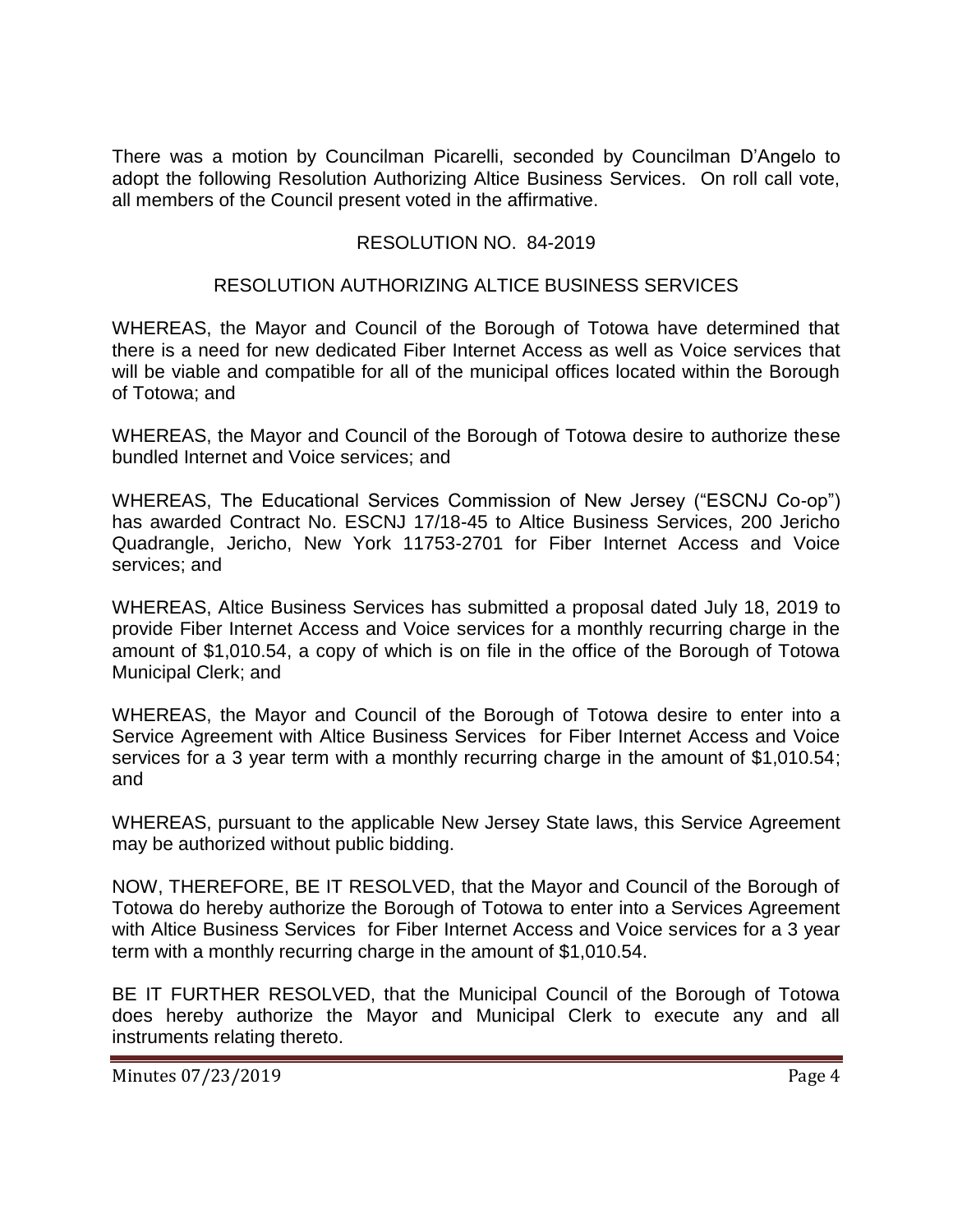There was a motion by Councilman Picarelli, seconded by Councilman D'Angelo to adopt the following Resolution Authorizing Altice Business Services. On roll call vote, all members of the Council present voted in the affirmative.

## RESOLUTION NO. 84-2019

### RESOLUTION AUTHORIZING ALTICE BUSINESS SERVICES

WHEREAS, the Mayor and Council of the Borough of Totowa have determined that there is a need for new dedicated Fiber Internet Access as well as Voice services that will be viable and compatible for all of the municipal offices located within the Borough of Totowa; and

WHEREAS, the Mayor and Council of the Borough of Totowa desire to authorize these bundled Internet and Voice services; and

WHEREAS, The Educational Services Commission of New Jersey ("ESCNJ Co-op") has awarded Contract No. ESCNJ 17/18-45 to Altice Business Services, 200 Jericho Quadrangle, Jericho, New York 11753-2701 for Fiber Internet Access and Voice services; and

WHEREAS, Altice Business Services has submitted a proposal dated July 18, 2019 to provide Fiber Internet Access and Voice services for a monthly recurring charge in the amount of \$1,010.54, a copy of which is on file in the office of the Borough of Totowa Municipal Clerk; and

WHEREAS, the Mayor and Council of the Borough of Totowa desire to enter into a Service Agreement with Altice Business Services for Fiber Internet Access and Voice services for a 3 year term with a monthly recurring charge in the amount of \$1,010.54; and

WHEREAS, pursuant to the applicable New Jersey State laws, this Service Agreement may be authorized without public bidding.

NOW, THEREFORE, BE IT RESOLVED, that the Mayor and Council of the Borough of Totowa do hereby authorize the Borough of Totowa to enter into a Services Agreement with Altice Business Services for Fiber Internet Access and Voice services for a 3 year term with a monthly recurring charge in the amount of \$1,010.54.

BE IT FURTHER RESOLVED, that the Municipal Council of the Borough of Totowa does hereby authorize the Mayor and Municipal Clerk to execute any and all instruments relating thereto.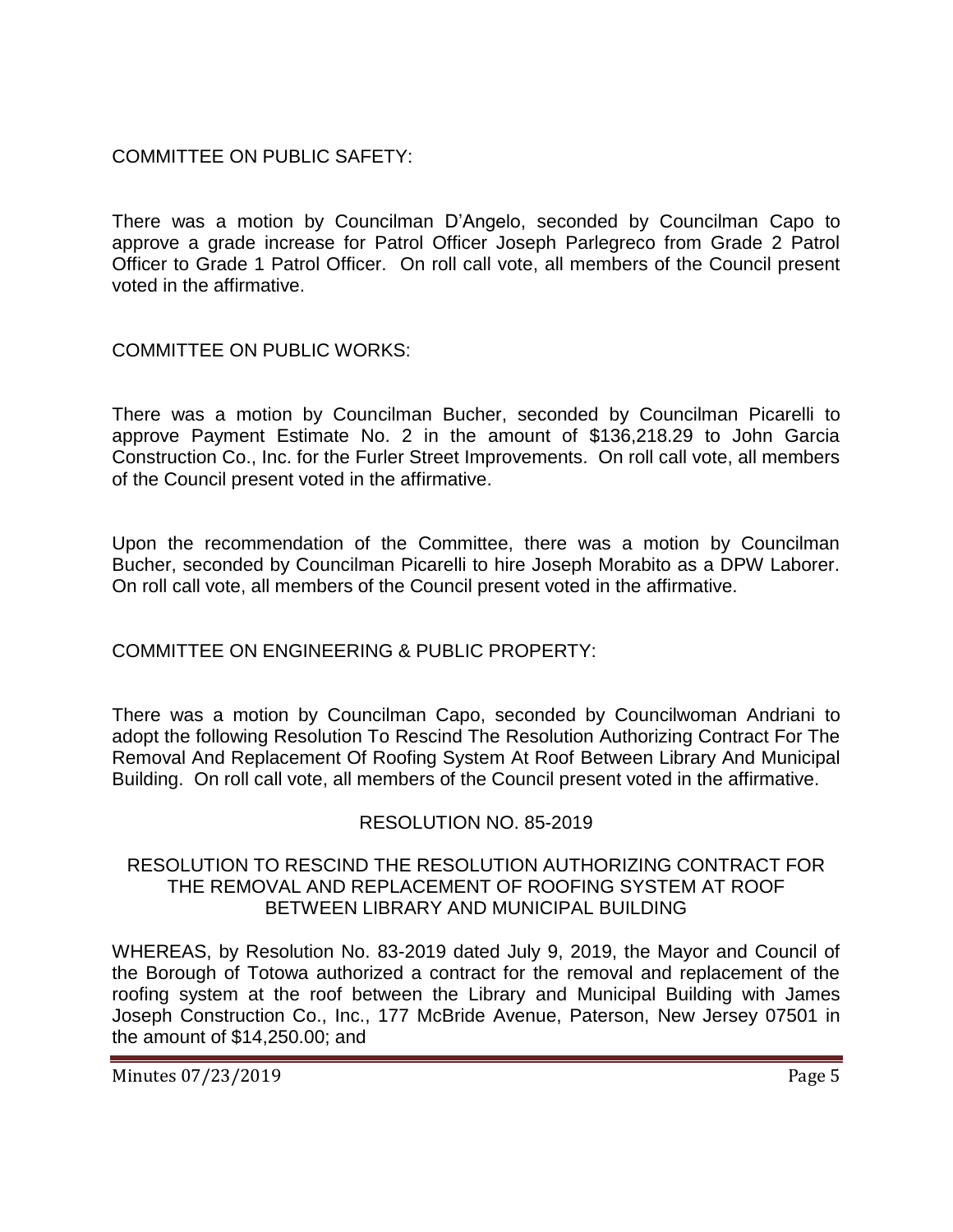COMMITTEE ON PUBLIC SAFETY:

There was a motion by Councilman D'Angelo, seconded by Councilman Capo to approve a grade increase for Patrol Officer Joseph Parlegreco from Grade 2 Patrol Officer to Grade 1 Patrol Officer. On roll call vote, all members of the Council present voted in the affirmative.

COMMITTEE ON PUBLIC WORKS:

There was a motion by Councilman Bucher, seconded by Councilman Picarelli to approve Payment Estimate No. 2 in the amount of \$136,218.29 to John Garcia Construction Co., Inc. for the Furler Street Improvements. On roll call vote, all members of the Council present voted in the affirmative.

Upon the recommendation of the Committee, there was a motion by Councilman Bucher, seconded by Councilman Picarelli to hire Joseph Morabito as a DPW Laborer. On roll call vote, all members of the Council present voted in the affirmative.

COMMITTEE ON ENGINEERING & PUBLIC PROPERTY:

There was a motion by Councilman Capo, seconded by Councilwoman Andriani to adopt the following Resolution To Rescind The Resolution Authorizing Contract For The Removal And Replacement Of Roofing System At Roof Between Library And Municipal Building. On roll call vote, all members of the Council present voted in the affirmative.

# RESOLUTION NO. 85-2019

## RESOLUTION TO RESCIND THE RESOLUTION AUTHORIZING CONTRACT FOR THE REMOVAL AND REPLACEMENT OF ROOFING SYSTEM AT ROOF BETWEEN LIBRARY AND MUNICIPAL BUILDING

WHEREAS, by Resolution No. 83-2019 dated July 9, 2019, the Mayor and Council of the Borough of Totowa authorized a contract for the removal and replacement of the roofing system at the roof between the Library and Municipal Building with James Joseph Construction Co., Inc., 177 McBride Avenue, Paterson, New Jersey 07501 in the amount of \$14,250.00; and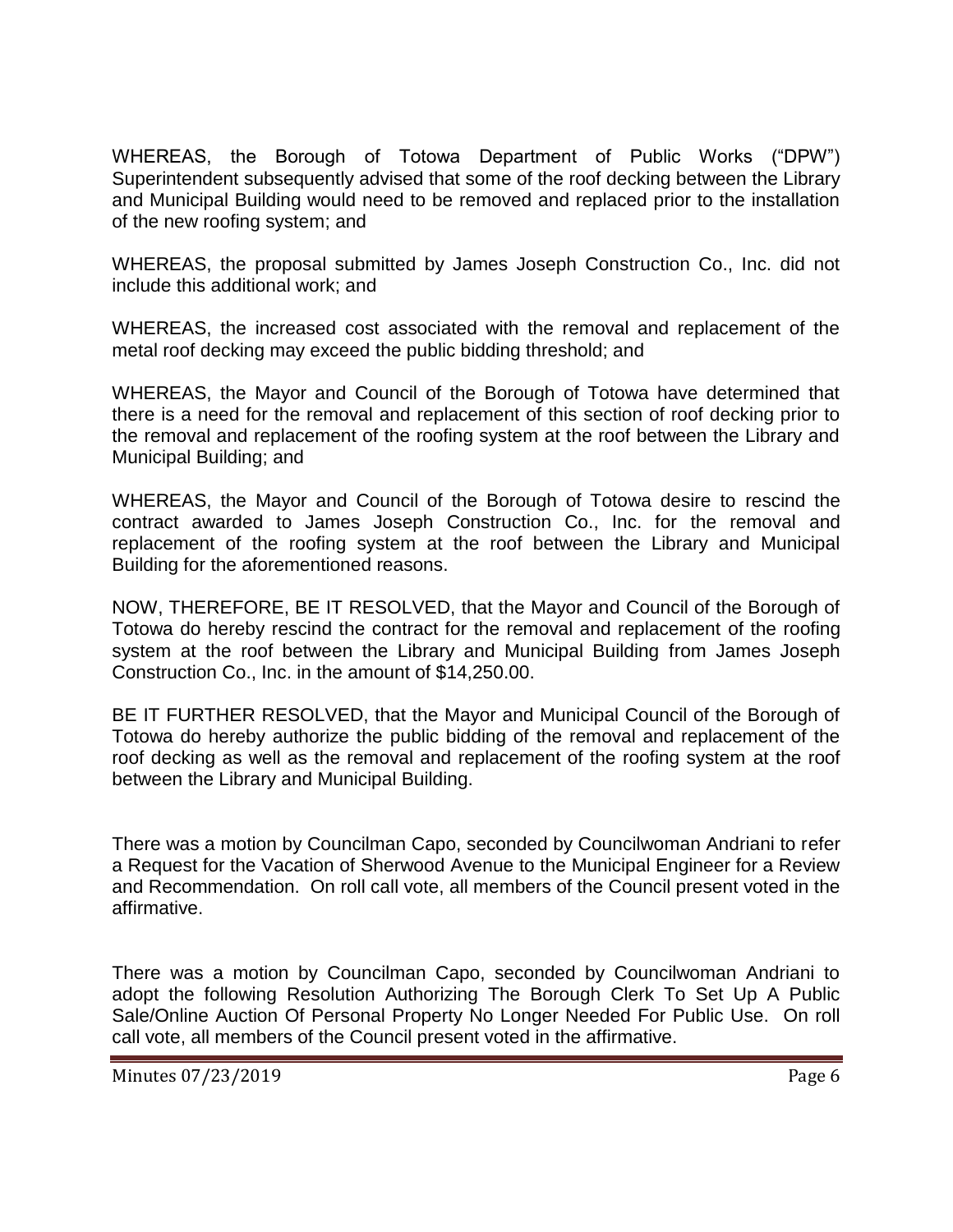WHEREAS, the Borough of Totowa Department of Public Works ("DPW") Superintendent subsequently advised that some of the roof decking between the Library and Municipal Building would need to be removed and replaced prior to the installation of the new roofing system; and

WHEREAS, the proposal submitted by James Joseph Construction Co., Inc. did not include this additional work; and

WHEREAS, the increased cost associated with the removal and replacement of the metal roof decking may exceed the public bidding threshold; and

WHEREAS, the Mayor and Council of the Borough of Totowa have determined that there is a need for the removal and replacement of this section of roof decking prior to the removal and replacement of the roofing system at the roof between the Library and Municipal Building; and

WHEREAS, the Mayor and Council of the Borough of Totowa desire to rescind the contract awarded to James Joseph Construction Co., Inc. for the removal and replacement of the roofing system at the roof between the Library and Municipal Building for the aforementioned reasons.

NOW, THEREFORE, BE IT RESOLVED, that the Mayor and Council of the Borough of Totowa do hereby rescind the contract for the removal and replacement of the roofing system at the roof between the Library and Municipal Building from James Joseph Construction Co., Inc. in the amount of \$14,250.00.

BE IT FURTHER RESOLVED, that the Mayor and Municipal Council of the Borough of Totowa do hereby authorize the public bidding of the removal and replacement of the roof decking as well as the removal and replacement of the roofing system at the roof between the Library and Municipal Building.

There was a motion by Councilman Capo, seconded by Councilwoman Andriani to refer a Request for the Vacation of Sherwood Avenue to the Municipal Engineer for a Review and Recommendation. On roll call vote, all members of the Council present voted in the affirmative.

There was a motion by Councilman Capo, seconded by Councilwoman Andriani to adopt the following Resolution Authorizing The Borough Clerk To Set Up A Public Sale/Online Auction Of Personal Property No Longer Needed For Public Use. On roll call vote, all members of the Council present voted in the affirmative.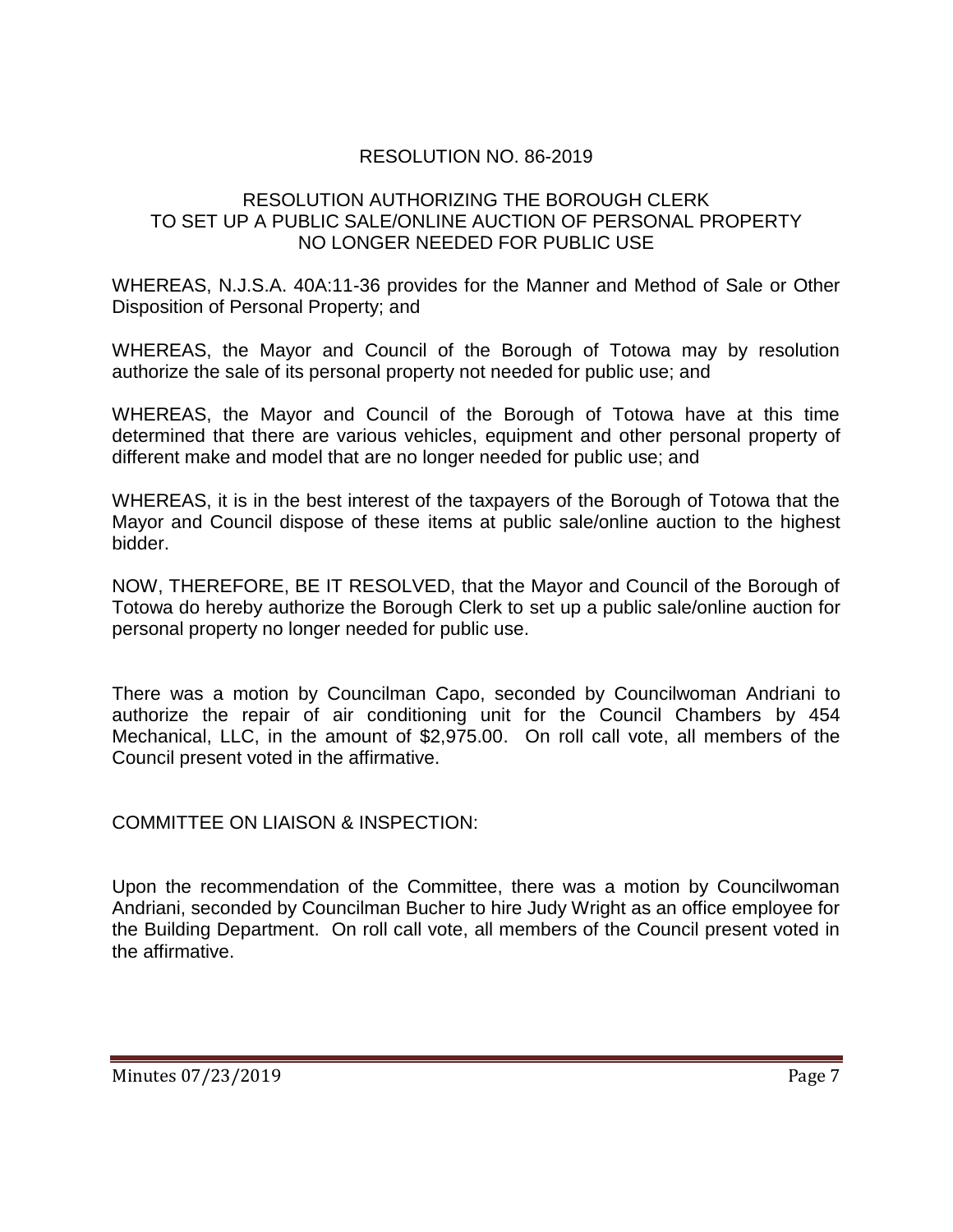# RESOLUTION NO. 86-2019

## RESOLUTION AUTHORIZING THE BOROUGH CLERK TO SET UP A PUBLIC SALE/ONLINE AUCTION OF PERSONAL PROPERTY NO LONGER NEEDED FOR PUBLIC USE

WHEREAS, N.J.S.A. 40A:11-36 provides for the Manner and Method of Sale or Other Disposition of Personal Property; and

WHEREAS, the Mayor and Council of the Borough of Totowa may by resolution authorize the sale of its personal property not needed for public use; and

WHEREAS, the Mayor and Council of the Borough of Totowa have at this time determined that there are various vehicles, equipment and other personal property of different make and model that are no longer needed for public use; and

WHEREAS, it is in the best interest of the taxpayers of the Borough of Totowa that the Mayor and Council dispose of these items at public sale/online auction to the highest bidder.

NOW, THEREFORE, BE IT RESOLVED, that the Mayor and Council of the Borough of Totowa do hereby authorize the Borough Clerk to set up a public sale/online auction for personal property no longer needed for public use.

There was a motion by Councilman Capo, seconded by Councilwoman Andriani to authorize the repair of air conditioning unit for the Council Chambers by 454 Mechanical, LLC, in the amount of \$2,975.00. On roll call vote, all members of the Council present voted in the affirmative.

COMMITTEE ON LIAISON & INSPECTION:

Upon the recommendation of the Committee, there was a motion by Councilwoman Andriani, seconded by Councilman Bucher to hire Judy Wright as an office employee for the Building Department. On roll call vote, all members of the Council present voted in the affirmative.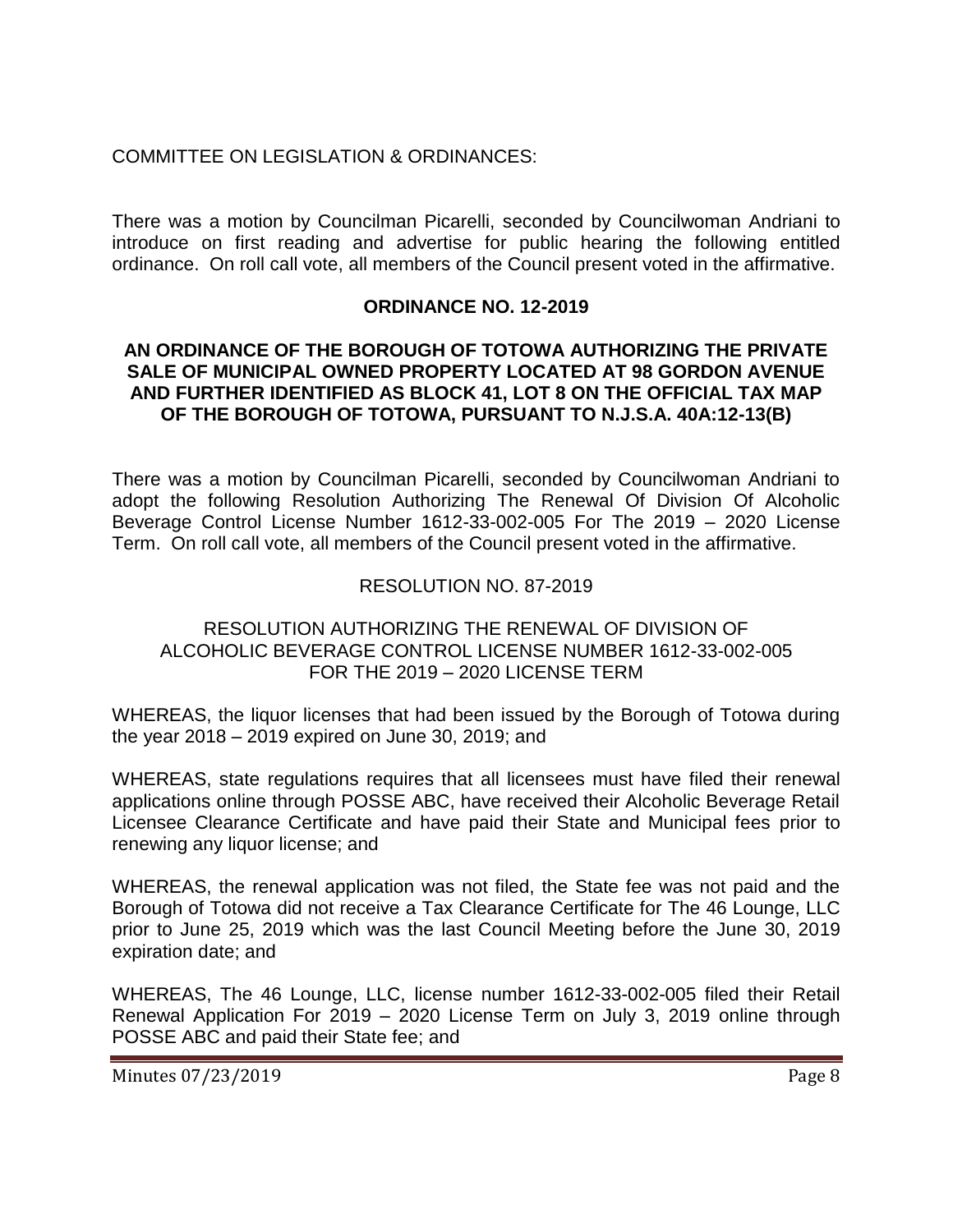## COMMITTEE ON LEGISLATION & ORDINANCES:

There was a motion by Councilman Picarelli, seconded by Councilwoman Andriani to introduce on first reading and advertise for public hearing the following entitled ordinance. On roll call vote, all members of the Council present voted in the affirmative.

#### **ORDINANCE NO. 12-2019**

#### **AN ORDINANCE OF THE BOROUGH OF TOTOWA AUTHORIZING THE PRIVATE SALE OF MUNICIPAL OWNED PROPERTY LOCATED AT 98 GORDON AVENUE AND FURTHER IDENTIFIED AS BLOCK 41, LOT 8 ON THE OFFICIAL TAX MAP OF THE BOROUGH OF TOTOWA, PURSUANT TO N.J.S.A. 40A:12-13(B)**

There was a motion by Councilman Picarelli, seconded by Councilwoman Andriani to adopt the following Resolution Authorizing The Renewal Of Division Of Alcoholic Beverage Control License Number 1612-33-002-005 For The 2019 – 2020 License Term. On roll call vote, all members of the Council present voted in the affirmative.

#### RESOLUTION NO. 87-2019

## RESOLUTION AUTHORIZING THE RENEWAL OF DIVISION OF ALCOHOLIC BEVERAGE CONTROL LICENSE NUMBER 1612-33-002-005 FOR THE 2019 – 2020 LICENSE TERM

WHEREAS, the liquor licenses that had been issued by the Borough of Totowa during the year 2018 – 2019 expired on June 30, 2019; and

WHEREAS, state regulations requires that all licensees must have filed their renewal applications online through POSSE ABC, have received their Alcoholic Beverage Retail Licensee Clearance Certificate and have paid their State and Municipal fees prior to renewing any liquor license; and

WHEREAS, the renewal application was not filed, the State fee was not paid and the Borough of Totowa did not receive a Tax Clearance Certificate for The 46 Lounge, LLC prior to June 25, 2019 which was the last Council Meeting before the June 30, 2019 expiration date; and

WHEREAS, The 46 Lounge, LLC, license number 1612-33-002-005 filed their Retail Renewal Application For 2019 – 2020 License Term on July 3, 2019 online through POSSE ABC and paid their State fee; and

Minutes 07/23/2019 Page 8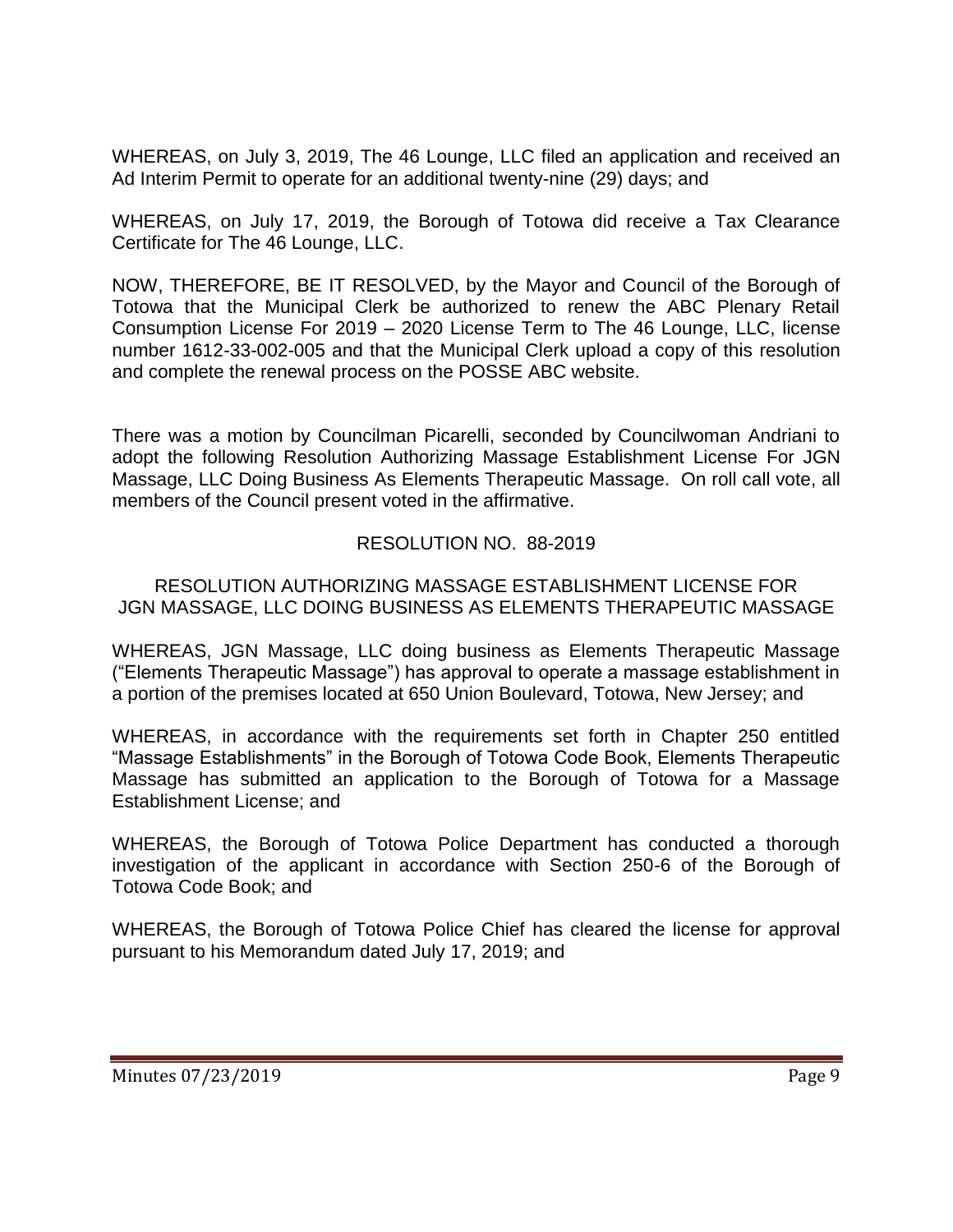WHEREAS, on July 3, 2019, The 46 Lounge, LLC filed an application and received an Ad Interim Permit to operate for an additional twenty-nine (29) days; and

WHEREAS, on July 17, 2019, the Borough of Totowa did receive a Tax Clearance Certificate for The 46 Lounge, LLC.

NOW, THEREFORE, BE IT RESOLVED, by the Mayor and Council of the Borough of Totowa that the Municipal Clerk be authorized to renew the ABC Plenary Retail Consumption License For 2019 – 2020 License Term to The 46 Lounge, LLC, license number 1612-33-002-005 and that the Municipal Clerk upload a copy of this resolution and complete the renewal process on the POSSE ABC website.

There was a motion by Councilman Picarelli, seconded by Councilwoman Andriani to adopt the following Resolution Authorizing Massage Establishment License For JGN Massage, LLC Doing Business As Elements Therapeutic Massage. On roll call vote, all members of the Council present voted in the affirmative.

## RESOLUTION NO. 88-2019

#### RESOLUTION AUTHORIZING MASSAGE ESTABLISHMENT LICENSE FOR JGN MASSAGE, LLC DOING BUSINESS AS ELEMENTS THERAPEUTIC MASSAGE

WHEREAS, JGN Massage, LLC doing business as Elements Therapeutic Massage ("Elements Therapeutic Massage") has approval to operate a massage establishment in a portion of the premises located at 650 Union Boulevard, Totowa, New Jersey; and

WHEREAS, in accordance with the requirements set forth in Chapter 250 entitled "Massage Establishments" in the Borough of Totowa Code Book, Elements Therapeutic Massage has submitted an application to the Borough of Totowa for a Massage Establishment License; and

WHEREAS, the Borough of Totowa Police Department has conducted a thorough investigation of the applicant in accordance with Section 250-6 of the Borough of Totowa Code Book; and

WHEREAS, the Borough of Totowa Police Chief has cleared the license for approval pursuant to his Memorandum dated July 17, 2019; and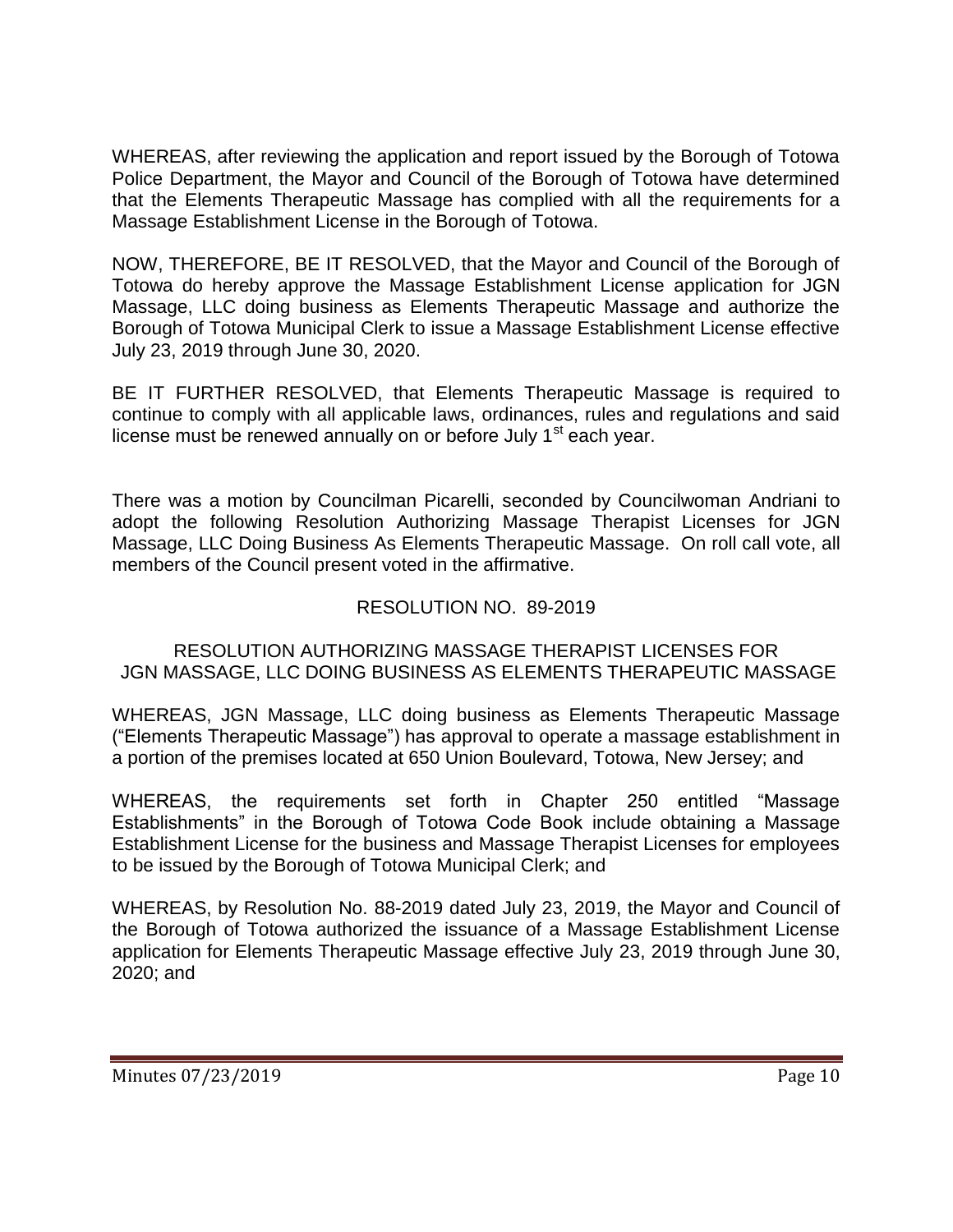WHEREAS, after reviewing the application and report issued by the Borough of Totowa Police Department, the Mayor and Council of the Borough of Totowa have determined that the Elements Therapeutic Massage has complied with all the requirements for a Massage Establishment License in the Borough of Totowa.

NOW, THEREFORE, BE IT RESOLVED, that the Mayor and Council of the Borough of Totowa do hereby approve the Massage Establishment License application for JGN Massage, LLC doing business as Elements Therapeutic Massage and authorize the Borough of Totowa Municipal Clerk to issue a Massage Establishment License effective July 23, 2019 through June 30, 2020.

BE IT FURTHER RESOLVED, that Elements Therapeutic Massage is required to continue to comply with all applicable laws, ordinances, rules and regulations and said license must be renewed annually on or before July 1<sup>st</sup> each year.

There was a motion by Councilman Picarelli, seconded by Councilwoman Andriani to adopt the following Resolution Authorizing Massage Therapist Licenses for JGN Massage, LLC Doing Business As Elements Therapeutic Massage. On roll call vote, all members of the Council present voted in the affirmative.

# RESOLUTION NO. 89-2019

# RESOLUTION AUTHORIZING MASSAGE THERAPIST LICENSES FOR JGN MASSAGE, LLC DOING BUSINESS AS ELEMENTS THERAPEUTIC MASSAGE

WHEREAS, JGN Massage, LLC doing business as Elements Therapeutic Massage ("Elements Therapeutic Massage") has approval to operate a massage establishment in a portion of the premises located at 650 Union Boulevard, Totowa, New Jersey; and

WHEREAS, the requirements set forth in Chapter 250 entitled "Massage Establishments" in the Borough of Totowa Code Book include obtaining a Massage Establishment License for the business and Massage Therapist Licenses for employees to be issued by the Borough of Totowa Municipal Clerk; and

WHEREAS, by Resolution No. 88-2019 dated July 23, 2019, the Mayor and Council of the Borough of Totowa authorized the issuance of a Massage Establishment License application for Elements Therapeutic Massage effective July 23, 2019 through June 30, 2020; and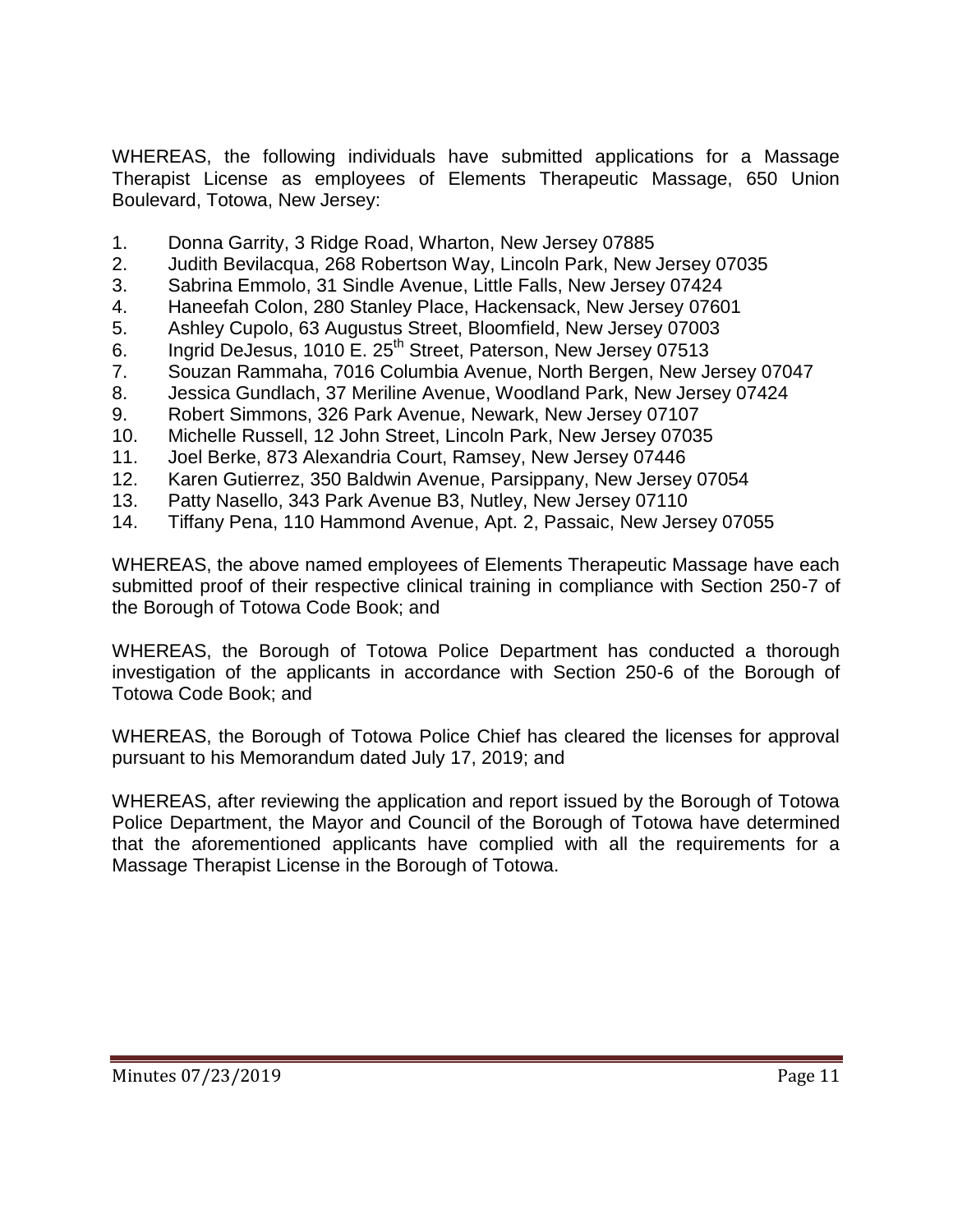WHEREAS, the following individuals have submitted applications for a Massage Therapist License as employees of Elements Therapeutic Massage, 650 Union Boulevard, Totowa, New Jersey:

- 1. Donna Garrity, 3 Ridge Road, Wharton, New Jersey 07885
- 2. Judith Bevilacqua, 268 Robertson Way, Lincoln Park, New Jersey 07035
- 3. Sabrina Emmolo, 31 Sindle Avenue, Little Falls, New Jersey 07424
- 4. Haneefah Colon, 280 Stanley Place, Hackensack, New Jersey 07601
- 5. Ashley Cupolo, 63 Augustus Street, Bloomfield, New Jersey 07003
- 6. Ingrid DeJesus, 1010 E. 25<sup>th</sup> Street, Paterson, New Jersey 07513
- 7. Souzan Rammaha, 7016 Columbia Avenue, North Bergen, New Jersey 07047
- 8. Jessica Gundlach, 37 Meriline Avenue, Woodland Park, New Jersey 07424
- 9. Robert Simmons, 326 Park Avenue, Newark, New Jersey 07107
- 10. Michelle Russell, 12 John Street, Lincoln Park, New Jersey 07035
- 11. Joel Berke, 873 Alexandria Court, Ramsey, New Jersey 07446
- 12. Karen Gutierrez, 350 Baldwin Avenue, Parsippany, New Jersey 07054
- 13. Patty Nasello, 343 Park Avenue B3, Nutley, New Jersey 07110
- 14. Tiffany Pena, 110 Hammond Avenue, Apt. 2, Passaic, New Jersey 07055

WHEREAS, the above named employees of Elements Therapeutic Massage have each submitted proof of their respective clinical training in compliance with Section 250-7 of the Borough of Totowa Code Book; and

WHEREAS, the Borough of Totowa Police Department has conducted a thorough investigation of the applicants in accordance with Section 250-6 of the Borough of Totowa Code Book; and

WHEREAS, the Borough of Totowa Police Chief has cleared the licenses for approval pursuant to his Memorandum dated July 17, 2019; and

WHEREAS, after reviewing the application and report issued by the Borough of Totowa Police Department, the Mayor and Council of the Borough of Totowa have determined that the aforementioned applicants have complied with all the requirements for a Massage Therapist License in the Borough of Totowa.